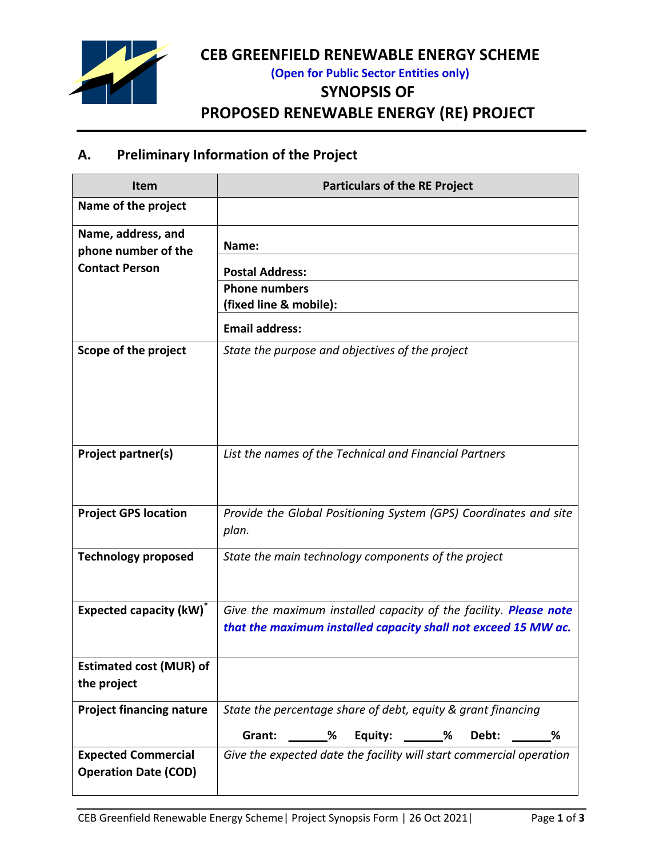

# **CEB GREENFIELD RENEWABLE ENERGY SCHEME**

**(Open for Public Sector Entities only)**

#### **SYNOPSIS OF**

**PROPOSED RENEWABLE ENERGY (RE) PROJECT**

## **A. Preliminary Information of the Project**

| <b>Item</b>                                               | <b>Particulars of the RE Project</b>                                                                                               |  |  |  |
|-----------------------------------------------------------|------------------------------------------------------------------------------------------------------------------------------------|--|--|--|
| Name of the project                                       |                                                                                                                                    |  |  |  |
| Name, address, and<br>phone number of the                 | Name:                                                                                                                              |  |  |  |
| <b>Contact Person</b>                                     | <b>Postal Address:</b>                                                                                                             |  |  |  |
|                                                           | <b>Phone numbers</b><br>(fixed line & mobile):                                                                                     |  |  |  |
|                                                           | <b>Email address:</b>                                                                                                              |  |  |  |
| Scope of the project                                      | State the purpose and objectives of the project                                                                                    |  |  |  |
|                                                           |                                                                                                                                    |  |  |  |
| Project partner(s)                                        | List the names of the Technical and Financial Partners                                                                             |  |  |  |
| <b>Project GPS location</b>                               | Provide the Global Positioning System (GPS) Coordinates and site<br>plan.                                                          |  |  |  |
| <b>Technology proposed</b>                                | State the main technology components of the project                                                                                |  |  |  |
| <b>Expected capacity (kW)</b>                             | Give the maximum installed capacity of the facility. Please note<br>that the maximum installed capacity shall not exceed 15 MW ac. |  |  |  |
| <b>Estimated cost (MUR) of</b><br>the project             |                                                                                                                                    |  |  |  |
| <b>Project financing nature</b>                           | State the percentage share of debt, equity & grant financing                                                                       |  |  |  |
|                                                           | Grant: ______% Equity: ______% Debt: ______%                                                                                       |  |  |  |
| <b>Expected Commercial</b><br><b>Operation Date (COD)</b> | Give the expected date the facility will start commercial operation                                                                |  |  |  |
|                                                           |                                                                                                                                    |  |  |  |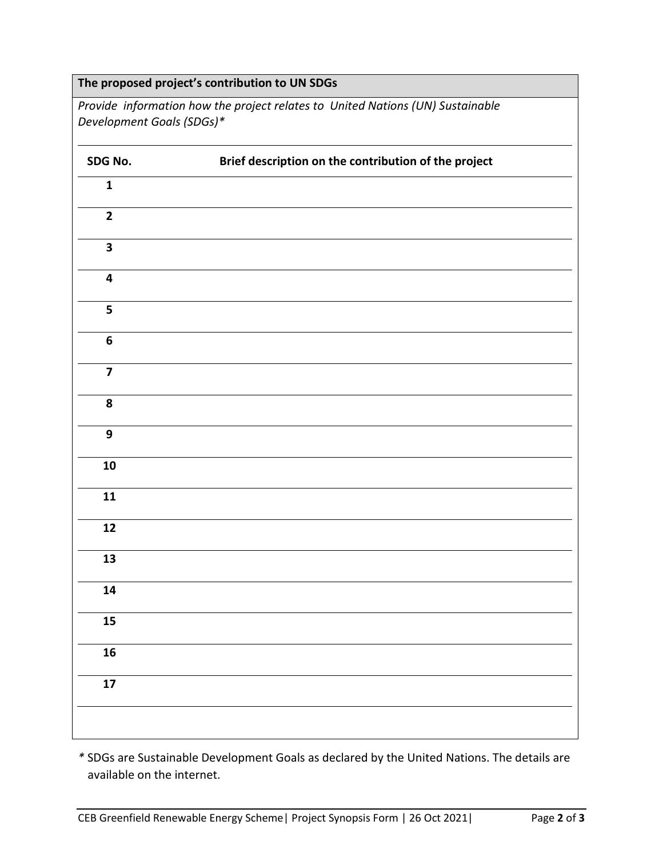| The proposed project's contribution to UN SDGs |                                                                                |  |  |  |  |  |
|------------------------------------------------|--------------------------------------------------------------------------------|--|--|--|--|--|
| Development Goals (SDGs)*                      | Provide information how the project relates to United Nations (UN) Sustainable |  |  |  |  |  |
| SDG No.                                        | Brief description on the contribution of the project                           |  |  |  |  |  |
| $\mathbf{1}$                                   |                                                                                |  |  |  |  |  |
| $\overline{2}$                                 |                                                                                |  |  |  |  |  |
| $\overline{\mathbf{3}}$                        |                                                                                |  |  |  |  |  |
| $\overline{\mathbf{4}}$                        |                                                                                |  |  |  |  |  |
| 5                                              |                                                                                |  |  |  |  |  |
| $\boldsymbol{6}$                               |                                                                                |  |  |  |  |  |
| $\overline{\mathbf{z}}$                        |                                                                                |  |  |  |  |  |
| 8                                              |                                                                                |  |  |  |  |  |
| 9                                              |                                                                                |  |  |  |  |  |
| 10                                             |                                                                                |  |  |  |  |  |
| 11                                             |                                                                                |  |  |  |  |  |
| 12                                             |                                                                                |  |  |  |  |  |
| 13                                             |                                                                                |  |  |  |  |  |
| 14                                             |                                                                                |  |  |  |  |  |
| 15                                             |                                                                                |  |  |  |  |  |
| 16                                             |                                                                                |  |  |  |  |  |
| $17$                                           |                                                                                |  |  |  |  |  |
|                                                |                                                                                |  |  |  |  |  |

*\** SDGs are Sustainable Development Goals as declared by the United Nations. The details are available on the internet.